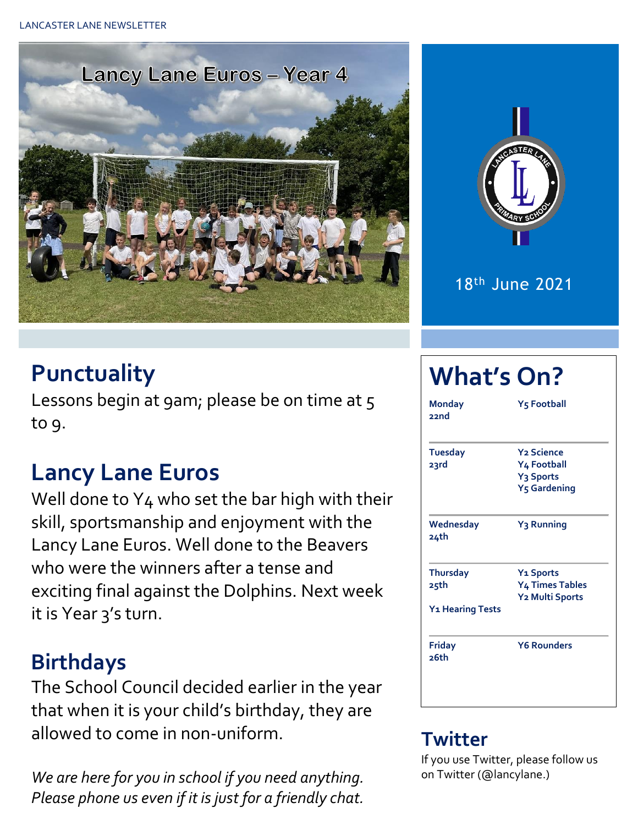LANCASTER LANE NEWSLETTER





18th June 2021

## **Punctuality**

Lessons begin at 9am; please be on time at 5 to 9.

#### **Lancy Lane Euros**

Well done to Y<sub>4</sub> who set the bar high with their skill, sportsmanship and enjoyment with the Lancy Lane Euros. Well done to the Beavers who were the winners after a tense and exciting final against the Dolphins. Next week it is Year 3's turn.

#### **Birthdays**

The School Council decided earlier in the year that when it is your child's birthday, they are allowed to come in non-uniform.

*We are here for you in school if you need anything. Please phone us even if it is just for a friendly chat.* 

# **What's On?**

| <b>Monday</b><br>22nd                                   | <b>Y5 Football</b>                                                                    |  |  |  |  |
|---------------------------------------------------------|---------------------------------------------------------------------------------------|--|--|--|--|
| Tuesday<br>23rd                                         | <b>Y2 Science</b><br>Y4 Football<br>Y <sub>3</sub> Sports<br>Y <sub>5</sub> Gardening |  |  |  |  |
| Wednesday<br>24th                                       | Y <sub>3</sub> Running                                                                |  |  |  |  |
| <b>Thursday</b><br>25th<br>Y <sub>1</sub> Hearing Tests | <b>Y<sub>1</sub></b> Sports<br>Y <sub>4</sub> Times Tables<br>Y2 Multi Sports         |  |  |  |  |
| <b>Friday</b><br>26th                                   | <b>Y6 Rounders</b>                                                                    |  |  |  |  |

#### **Twitter**

If you use Twitter, please follow us on Twitter (@lancylane.)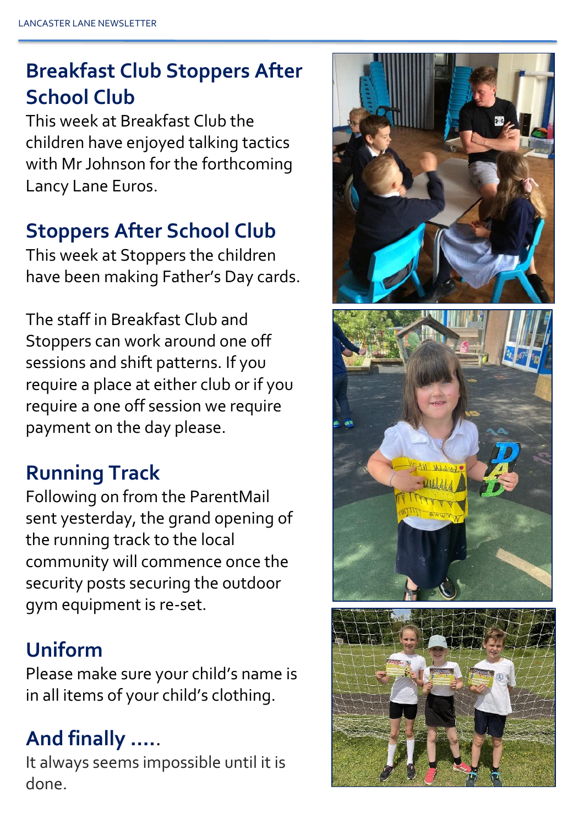## **Breakfast Club Stoppers After School Club**

This week at Breakfast Club the children have enjoyed talking tactics with Mr Johnson for the forthcoming Lancy Lane Euros.

#### **Stoppers After School Club**

This week at Stoppers the children have been making Father's Day cards.

The staff in Breakfast Club and Stoppers can work around one off sessions and shift patterns. If you require a place at either club or if you require a one off session we require payment on the day please.

#### **Running Track**

Following on from the ParentMail sent yesterday, the grand opening of the running track to the local community will commence once the security posts securing the outdoor gym equipment is re-set.

### **Uniform**

Please make sure your child's name is in all items of your child's clothing.

## **And finally ….**.

It always seems impossible until it is done.